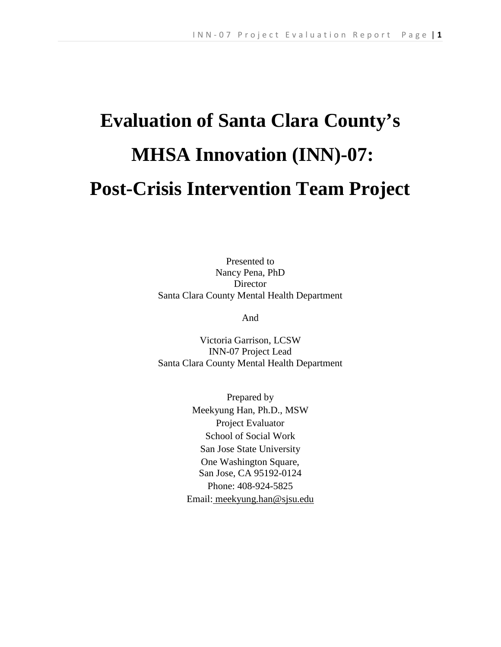# **Evaluation of Santa Clara County's MHSA Innovation (INN)-07: Post-Crisis Intervention Team Project**

Presented to Nancy Pena, PhD **Director** Santa Clara County Mental Health Department

And

Victoria Garrison, LCSW INN-07 Project Lead Santa Clara County Mental Health Department

> Prepared by Meekyung Han, Ph.D., MSW Project Evaluator School of Social Work San Jose State University One Washington Square, San Jose, CA 95192-0124 Phone: 408-924-5825 Email: [meekyung.han@sjsu.edu](mailto:meekyung.han@sjsu.edu)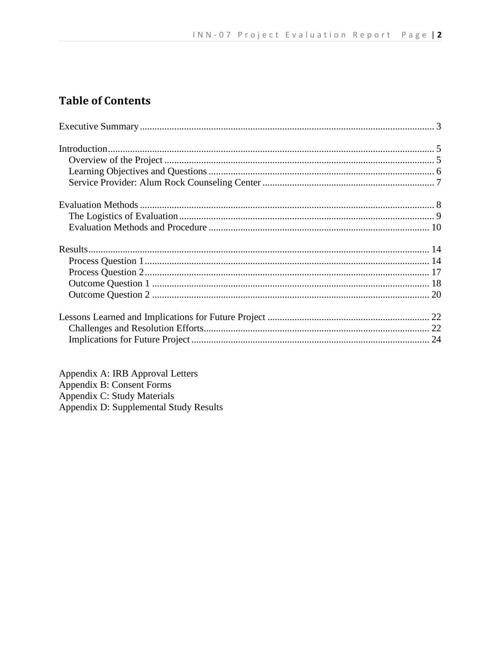## **Table of Contents**

Appendix A: IRB Approval Letters<br>Appendix B: Consent Forms Appendix C: Study Materials<br>Appendix D: Supplemental Study Results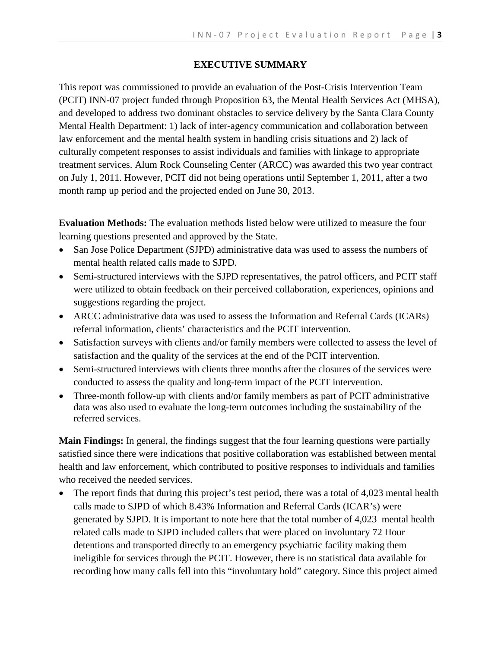## **EXECUTIVE SUMMARY**

This report was commissioned to provide an evaluation of the Post-Crisis Intervention Team (PCIT) INN-07 project funded through Proposition 63, the Mental Health Services Act (MHSA), and developed to address two dominant obstacles to service delivery by the Santa Clara County Mental Health Department: 1) lack of inter-agency communication and collaboration between law enforcement and the mental health system in handling crisis situations and 2) lack of culturally competent responses to assist individuals and families with linkage to appropriate treatment services. Alum Rock Counseling Center (ARCC) was awarded this two year contract on July 1, 2011. However, PCIT did not being operations until September 1, 2011, after a two month ramp up period and the projected ended on June 30, 2013.

**Evaluation Methods:** The evaluation methods listed below were utilized to measure the four learning questions presented and approved by the State.

- San Jose Police Department (SJPD) administrative data was used to assess the numbers of mental health related calls made to SJPD.
- Semi-structured interviews with the SJPD representatives, the patrol officers, and PCIT staff were utilized to obtain feedback on their perceived collaboration, experiences, opinions and suggestions regarding the project.
- ARCC administrative data was used to assess the Information and Referral Cards (ICARs) referral information, clients' characteristics and the PCIT intervention.
- Satisfaction surveys with clients and/or family members were collected to assess the level of satisfaction and the quality of the services at the end of the PCIT intervention.
- Semi-structured interviews with clients three months after the closures of the services were conducted to assess the quality and long-term impact of the PCIT intervention.
- Three-month follow-up with clients and/or family members as part of PCIT administrative data was also used to evaluate the long-term outcomes including the sustainability of the referred services.

**Main Findings:** In general, the findings suggest that the four learning questions were partially satisfied since there were indications that positive collaboration was established between mental health and law enforcement, which contributed to positive responses to individuals and families who received the needed services.

The report finds that during this project's test period, there was a total of 4,023 mental health calls made to SJPD of which 8.43% Information and Referral Cards (ICAR's) were generated by SJPD. It is important to note here that the total number of 4,023 mental health related calls made to SJPD included callers that were placed on involuntary 72 Hour detentions and transported directly to an emergency psychiatric facility making them ineligible for services through the PCIT. However, there is no statistical data available for recording how many calls fell into this "involuntary hold" category. Since this project aimed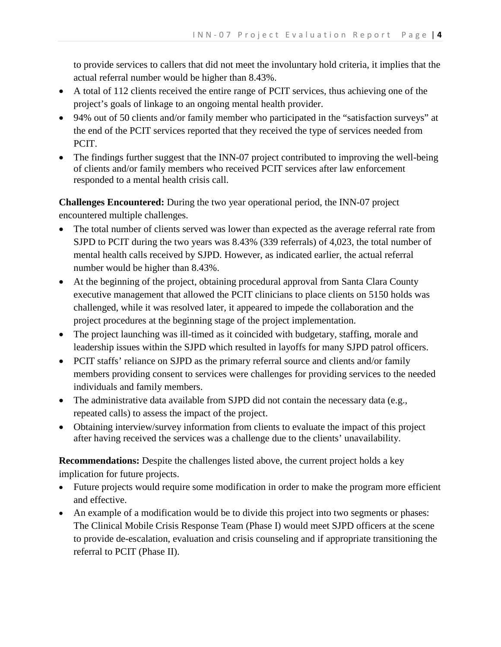to provide services to callers that did not meet the involuntary hold criteria, it implies that the actual referral number would be higher than 8.43%.

- A total of 112 clients received the entire range of PCIT services, thus achieving one of the project's goals of linkage to an ongoing mental health provider.
- 94% out of 50 clients and/or family member who participated in the "satisfaction surveys" at the end of the PCIT services reported that they received the type of services needed from PCIT.
- The findings further suggest that the INN-07 project contributed to improving the well-being of clients and/or family members who received PCIT services after law enforcement responded to a mental health crisis call.

**Challenges Encountered:** During the two year operational period, the INN-07 project encountered multiple challenges.

- The total number of clients served was lower than expected as the average referral rate from SJPD to PCIT during the two years was 8.43% (339 referrals) of 4,023, the total number of mental health calls received by SJPD. However, as indicated earlier, the actual referral number would be higher than 8.43%.
- At the beginning of the project, obtaining procedural approval from Santa Clara County executive management that allowed the PCIT clinicians to place clients on 5150 holds was challenged, while it was resolved later, it appeared to impede the collaboration and the project procedures at the beginning stage of the project implementation.
- The project launching was ill-timed as it coincided with budgetary, staffing, morale and leadership issues within the SJPD which resulted in layoffs for many SJPD patrol officers.
- PCIT staffs' reliance on SJPD as the primary referral source and clients and/or family members providing consent to services were challenges for providing services to the needed individuals and family members.
- The administrative data available from SJPD did not contain the necessary data (e.g., repeated calls) to assess the impact of the project.
- Obtaining interview/survey information from clients to evaluate the impact of this project after having received the services was a challenge due to the clients' unavailability.

**Recommendations:** Despite the challenges listed above, the current project holds a key implication for future projects.

- Future projects would require some modification in order to make the program more efficient and effective.
- An example of a modification would be to divide this project into two segments or phases: The Clinical Mobile Crisis Response Team (Phase I) would meet SJPD officers at the scene to provide de-escalation, evaluation and crisis counseling and if appropriate transitioning the referral to PCIT (Phase II).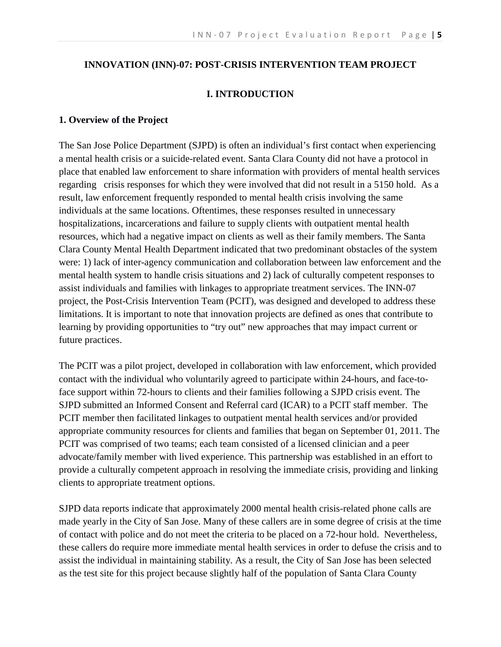## **INNOVATION (INN)-07: POST-CRISIS INTERVENTION TEAM PROJECT**

## **I. INTRODUCTION**

#### **1. Overview of the Project**

The San Jose Police Department (SJPD) is often an individual's first contact when experiencing a mental health crisis or a suicide-related event. Santa Clara County did not have a protocol in place that enabled law enforcement to share information with providers of mental health services regarding crisis responses for which they were involved that did not result in a 5150 hold. As a result, law enforcement frequently responded to mental health crisis involving the same individuals at the same locations. Oftentimes, these responses resulted in unnecessary hospitalizations, incarcerations and failure to supply clients with outpatient mental health resources, which had a negative impact on clients as well as their family members. The Santa Clara County Mental Health Department indicated that two predominant obstacles of the system were: 1) lack of inter-agency communication and collaboration between law enforcement and the mental health system to handle crisis situations and 2) lack of culturally competent responses to assist individuals and families with linkages to appropriate treatment services. The INN-07 project, the Post-Crisis Intervention Team (PCIT), was designed and developed to address these limitations. It is important to note that innovation projects are defined as ones that contribute to learning by providing opportunities to "try out" new approaches that may impact current or future practices.

The PCIT was a pilot project, developed in collaboration with law enforcement, which provided contact with the individual who voluntarily agreed to participate within 24-hours, and face-toface support within 72-hours to clients and their families following a SJPD crisis event. The SJPD submitted an Informed Consent and Referral card (ICAR) to a PCIT staff member. The PCIT member then facilitated linkages to outpatient mental health services and/or provided appropriate community resources for clients and families that began on September 01, 2011. The PCIT was comprised of two teams; each team consisted of a licensed clinician and a peer advocate/family member with lived experience. This partnership was established in an effort to provide a culturally competent approach in resolving the immediate crisis, providing and linking clients to appropriate treatment options.

SJPD data reports indicate that approximately 2000 mental health crisis-related phone calls are made yearly in the City of San Jose. Many of these callers are in some degree of crisis at the time of contact with police and do not meet the criteria to be placed on a 72-hour hold. Nevertheless, these callers do require more immediate mental health services in order to defuse the crisis and to assist the individual in maintaining stability. As a result, the City of San Jose has been selected as the test site for this project because slightly half of the population of Santa Clara County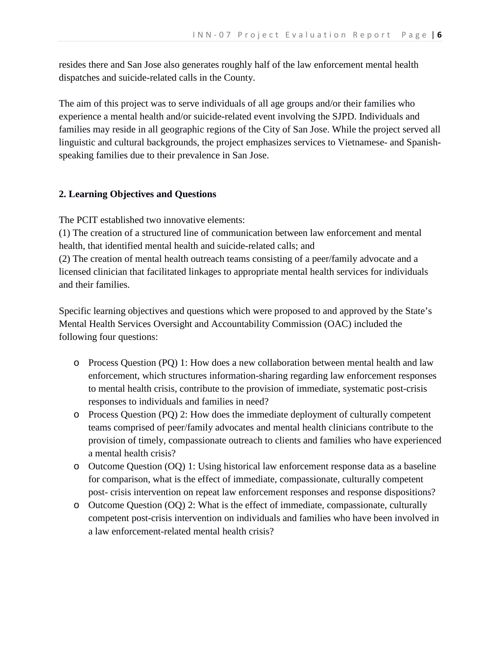resides there and San Jose also generates roughly half of the law enforcement mental health dispatches and suicide-related calls in the County.

The aim of this project was to serve individuals of all age groups and/or their families who experience a mental health and/or suicide-related event involving the SJPD. Individuals and families may reside in all geographic regions of the City of San Jose. While the project served all linguistic and cultural backgrounds, the project emphasizes services to Vietnamese- and Spanishspeaking families due to their prevalence in San Jose.

## **2. Learning Objectives and Questions**

The PCIT established two innovative elements:

(1) The creation of a structured line of communication between law enforcement and mental health, that identified mental health and suicide-related calls; and

(2) The creation of mental health outreach teams consisting of a peer/family advocate and a licensed clinician that facilitated linkages to appropriate mental health services for individuals and their families.

Specific learning objectives and questions which were proposed to and approved by the State's Mental Health Services Oversight and Accountability Commission (OAC) included the following four questions:

- o Process Question (PQ) 1: How does a new collaboration between mental health and law enforcement, which structures information-sharing regarding law enforcement responses to mental health crisis, contribute to the provision of immediate, systematic post-crisis responses to individuals and families in need?
- o Process Question (PQ) 2: How does the immediate deployment of culturally competent teams comprised of peer/family advocates and mental health clinicians contribute to the provision of timely, compassionate outreach to clients and families who have experienced a mental health crisis?
- o Outcome Question (OQ) 1: Using historical law enforcement response data as a baseline for comparison, what is the effect of immediate, compassionate, culturally competent post- crisis intervention on repeat law enforcement responses and response dispositions?
- o Outcome Question (OQ) 2: What is the effect of immediate, compassionate, culturally competent post-crisis intervention on individuals and families who have been involved in a law enforcement-related mental health crisis?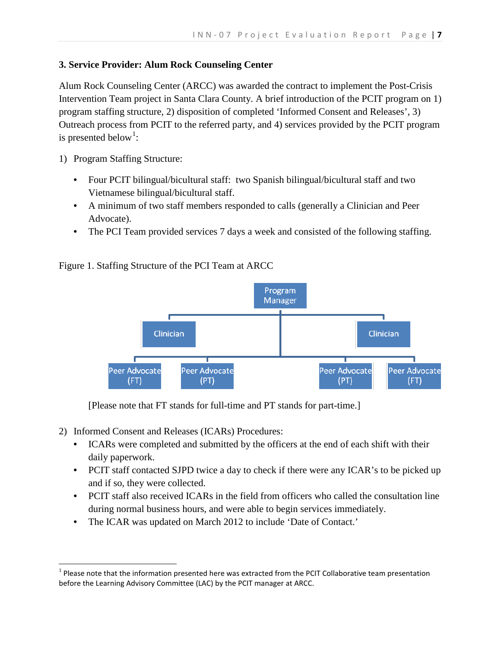## **3. Service Provider: Alum Rock Counseling Center**

Alum Rock Counseling Center (ARCC) was awarded the contract to implement the Post-Crisis Intervention Team project in Santa Clara County. A brief introduction of the PCIT program on 1) program staffing structure, 2) disposition of completed 'Informed Consent and Releases', 3) Outreach process from PCIT to the referred party, and 4) services provided by the PCIT program is presented below<sup>[1](#page-6-0)</sup>:

1) Program Staffing Structure:

- Four PCIT bilingual/bicultural staff: two Spanish bilingual/bicultural staff and two Vietnamese bilingual/bicultural staff.
- A minimum of two staff members responded to calls (generally a Clinician and Peer Advocate).
- The PCI Team provided services 7 days a week and consisted of the following staffing.

Figure 1. Staffing Structure of the PCI Team at ARCC



[Please note that FT stands for full-time and PT stands for part-time.]

- 2) Informed Consent and Releases (ICARs) Procedures:
	- ICARs were completed and submitted by the officers at the end of each shift with their daily paperwork.
	- PCIT staff contacted SJPD twice a day to check if there were any ICAR's to be picked up and if so, they were collected.
	- PCIT staff also received ICARs in the field from officers who called the consultation line during normal business hours, and were able to begin services immediately.
	- The ICAR was updated on March 2012 to include 'Date of Contact.'

<span id="page-6-0"></span> $1$  Please note that the information presented here was extracted from the PCIT Collaborative team presentation before the Learning Advisory Committee (LAC) by the PCIT manager at ARCC.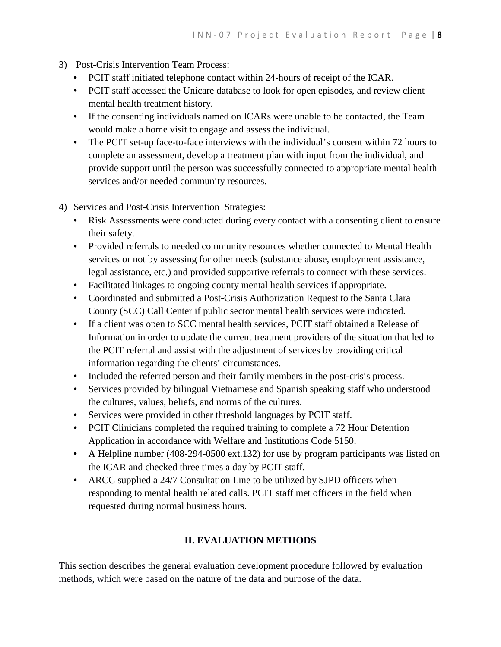- 3) Post-Crisis Intervention Team Process:
	- PCIT staff initiated telephone contact within 24-hours of receipt of the ICAR.
	- PCIT staff accessed the Unicare database to look for open episodes, and review client mental health treatment history.
	- If the consenting individuals named on ICARs were unable to be contacted, the Team would make a home visit to engage and assess the individual.
	- The PCIT set-up face-to-face interviews with the individual's consent within 72 hours to complete an assessment, develop a treatment plan with input from the individual, and provide support until the person was successfully connected to appropriate mental health services and/or needed community resources.
- 4) Services and Post-Crisis Intervention Strategies:
	- Risk Assessments were conducted during every contact with a consenting client to ensure their safety.
	- Provided referrals to needed community resources whether connected to Mental Health services or not by assessing for other needs (substance abuse, employment assistance, legal assistance, etc.) and provided supportive referrals to connect with these services.
	- Facilitated linkages to ongoing county mental health services if appropriate.
	- Coordinated and submitted a Post-Crisis Authorization Request to the Santa Clara County (SCC) Call Center if public sector mental health services were indicated.
	- If a client was open to SCC mental health services, PCIT staff obtained a Release of Information in order to update the current treatment providers of the situation that led to the PCIT referral and assist with the adjustment of services by providing critical information regarding the clients' circumstances.
	- Included the referred person and their family members in the post-crisis process.
	- Services provided by bilingual Vietnamese and Spanish speaking staff who understood the cultures, values, beliefs, and norms of the cultures.
	- Services were provided in other threshold languages by PCIT staff.
	- PCIT Clinicians completed the required training to complete a 72 Hour Detention Application in accordance with Welfare and Institutions Code 5150.
	- A Helpline number (408-294-0500 ext.132) for use by program participants was listed on the ICAR and checked three times a day by PCIT staff.
	- ARCC supplied a 24/7 Consultation Line to be utilized by SJPD officers when responding to mental health related calls. PCIT staff met officers in the field when requested during normal business hours.

## **II. EVALUATION METHODS**

This section describes the general evaluation development procedure followed by evaluation methods, which were based on the nature of the data and purpose of the data.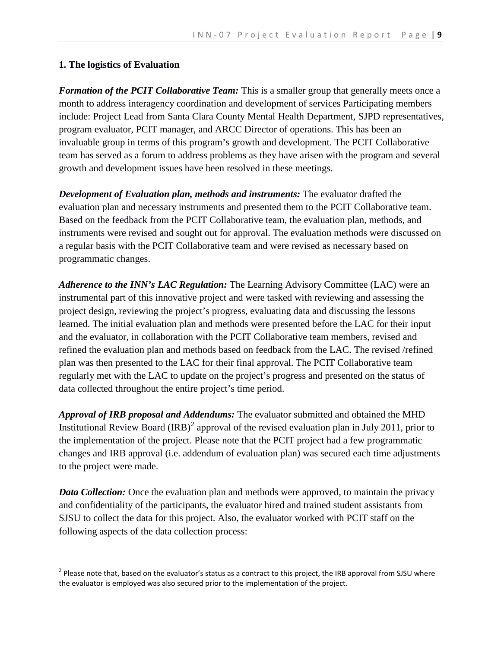#### **1. The logistics of Evaluation**

*Formation of the PCIT Collaborative Team:* This is a smaller group that generally meets once a month to address interagency coordination and development of services Participating members include: Project Lead from Santa Clara County Mental Health Department, SJPD representatives, program evaluator, PCIT manager, and ARCC Director of operations. This has been an invaluable group in terms of this program's growth and development. The PCIT Collaborative team has served as a forum to address problems as they have arisen with the program and several growth and development issues have been resolved in these meetings.

*Development of Evaluation plan, methods and instruments:* The evaluator drafted the evaluation plan and necessary instruments and presented them to the PCIT Collaborative team. Based on the feedback from the PCIT Collaborative team, the evaluation plan, methods, and instruments were revised and sought out for approval. The evaluation methods were discussed on a regular basis with the PCIT Collaborative team and were revised as necessary based on programmatic changes.

*Adherence to the INN's LAC Regulation:* The Learning Advisory Committee (LAC) were an instrumental part of this innovative project and were tasked with reviewing and assessing the project design, reviewing the project's progress, evaluating data and discussing the lessons learned. The initial evaluation plan and methods were presented before the LAC for their input and the evaluator, in collaboration with the PCIT Collaborative team members, revised and refined the evaluation plan and methods based on feedback from the LAC. The revised /refined plan was then presented to the LAC for their final approval. The PCIT Collaborative team regularly met with the LAC to update on the project's progress and presented on the status of data collected throughout the entire project's time period.

*Approval of IRB proposal and Addendums:* The evaluator submitted and obtained the MHD Institutional Review Board  $(RB)^2$  $(RB)^2$  approval of the revised evaluation plan in July 2011, prior to the implementation of the project. Please note that the PCIT project had a few programmatic changes and IRB approval (i.e. addendum of evaluation plan) was secured each time adjustments to the project were made.

*Data Collection:* Once the evaluation plan and methods were approved, to maintain the privacy and confidentiality of the participants, the evaluator hired and trained student assistants from SJSU to collect the data for this project. Also, the evaluator worked with PCIT staff on the following aspects of the data collection process:

<span id="page-8-0"></span> $2$  Please note that, based on the evaluator's status as a contract to this project, the IRB approval from SJSU where the evaluator is employed was also secured prior to the implementation of the project.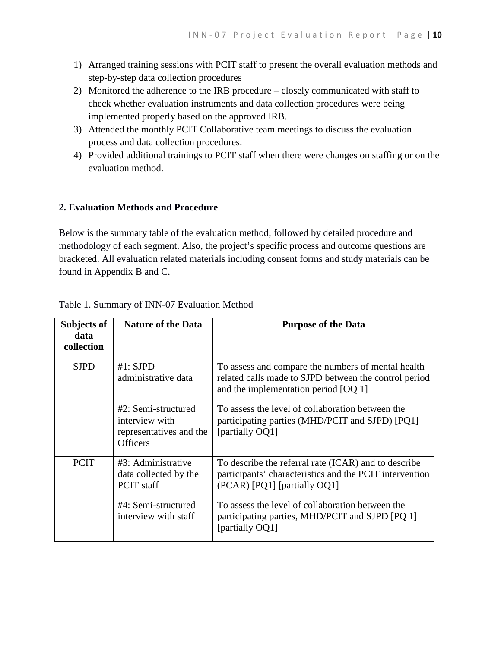- 1) Arranged training sessions with PCIT staff to present the overall evaluation methods and step-by-step data collection procedures
- 2) Monitored the adherence to the IRB procedure closely communicated with staff to check whether evaluation instruments and data collection procedures were being implemented properly based on the approved IRB.
- 3) Attended the monthly PCIT Collaborative team meetings to discuss the evaluation process and data collection procedures.
- 4) Provided additional trainings to PCIT staff when there were changes on staffing or on the evaluation method.

#### **2. Evaluation Methods and Procedure**

Below is the summary table of the evaluation method, followed by detailed procedure and methodology of each segment. Also, the project's specific process and outcome questions are bracketed. All evaluation related materials including consent forms and study materials can be found in Appendix B and C.

| Subjects of<br>data<br>collection | <b>Nature of the Data</b>                                                           | <b>Purpose of the Data</b>                                                                                                                            |
|-----------------------------------|-------------------------------------------------------------------------------------|-------------------------------------------------------------------------------------------------------------------------------------------------------|
| <b>SJPD</b>                       | $#1:$ SJPD<br>administrative data                                                   | To assess and compare the numbers of mental health<br>related calls made to SJPD between the control period<br>and the implementation period $[OQ 1]$ |
|                                   | #2: Semi-structured<br>interview with<br>representatives and the<br><b>Officers</b> | To assess the level of collaboration between the<br>participating parties (MHD/PCIT and SJPD) [PQ1]<br>[partially OQ1]                                |
| <b>PCIT</b>                       | #3: Administrative<br>data collected by the<br>PCIT staff                           | To describe the referral rate (ICAR) and to describe<br>participants' characteristics and the PCIT intervention<br>(PCAR) [PQ1] [partially OQ1]       |
|                                   | #4: Semi-structured<br>interview with staff                                         | To assess the level of collaboration between the<br>participating parties, MHD/PCIT and SJPD [PQ 1]<br>[partially OQ1]                                |

#### Table 1. Summary of INN-07 Evaluation Method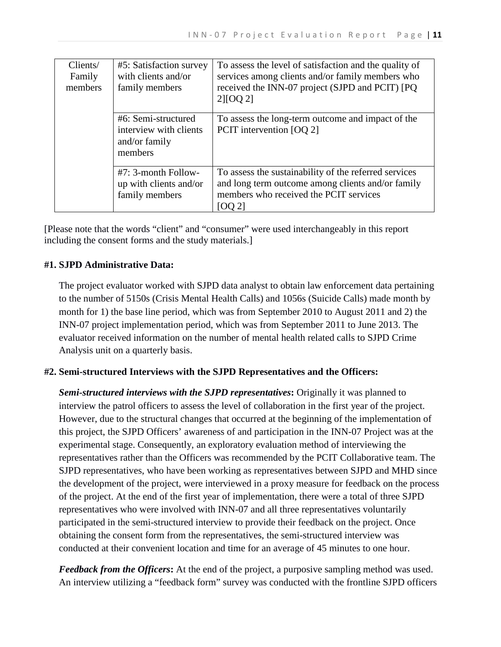| Clients/<br>Family<br>members | #5: Satisfaction survey<br>with clients and/or<br>family members          | To assess the level of satisfaction and the quality of<br>services among clients and/or family members who<br>received the INN-07 project (SJPD and PCIT) [PQ<br>$2$ [[OQ 2] |
|-------------------------------|---------------------------------------------------------------------------|------------------------------------------------------------------------------------------------------------------------------------------------------------------------------|
|                               | #6: Semi-structured<br>interview with clients<br>and/or family<br>members | To assess the long-term outcome and impact of the<br>PCIT intervention [OQ 2]                                                                                                |
|                               | #7: 3-month Follow-<br>up with clients and/or<br>family members           | To assess the sustainability of the referred services<br>and long term outcome among clients and/or family<br>members who received the PCIT services<br>[OO 2]               |

[Please note that the words "client" and "consumer" were used interchangeably in this report including the consent forms and the study materials.]

## **#1. SJPD Administrative Data:**

The project evaluator worked with SJPD data analyst to obtain law enforcement data pertaining to the number of 5150s (Crisis Mental Health Calls) and 1056s (Suicide Calls) made month by month for 1) the base line period, which was from September 2010 to August 2011 and 2) the INN-07 project implementation period, which was from September 2011 to June 2013. The evaluator received information on the number of mental health related calls to SJPD Crime Analysis unit on a quarterly basis.

## **#2. Semi-structured Interviews with the SJPD Representatives and the Officers:**

*Semi-structured interviews with the SJPD representatives***:** Originally it was planned to interview the patrol officers to assess the level of collaboration in the first year of the project. However, due to the structural changes that occurred at the beginning of the implementation of this project, the SJPD Officers' awareness of and participation in the INN-07 Project was at the experimental stage. Consequently, an exploratory evaluation method of interviewing the representatives rather than the Officers was recommended by the PCIT Collaborative team. The SJPD representatives, who have been working as representatives between SJPD and MHD since the development of the project, were interviewed in a proxy measure for feedback on the process of the project. At the end of the first year of implementation, there were a total of three SJPD representatives who were involved with INN-07 and all three representatives voluntarily participated in the semi-structured interview to provide their feedback on the project. Once obtaining the consent form from the representatives, the semi-structured interview was conducted at their convenient location and time for an average of 45 minutes to one hour.

*Feedback from the Officers***:** At the end of the project, a purposive sampling method was used. An interview utilizing a "feedback form" survey was conducted with the frontline SJPD officers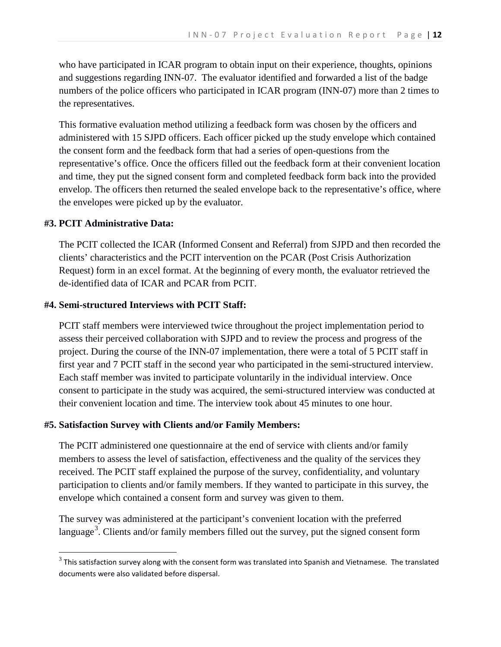who have participated in ICAR program to obtain input on their experience, thoughts, opinions and suggestions regarding INN-07. The evaluator identified and forwarded a list of the badge numbers of the police officers who participated in ICAR program (INN-07) more than 2 times to the representatives.

This formative evaluation method utilizing a feedback form was chosen by the officers and administered with 15 SJPD officers. Each officer picked up the study envelope which contained the consent form and the feedback form that had a series of open-questions from the representative's office. Once the officers filled out the feedback form at their convenient location and time, they put the signed consent form and completed feedback form back into the provided envelop. The officers then returned the sealed envelope back to the representative's office, where the envelopes were picked up by the evaluator.

#### **#3. PCIT Administrative Data:**

The PCIT collected the ICAR (Informed Consent and Referral) from SJPD and then recorded the clients' characteristics and the PCIT intervention on the PCAR (Post Crisis Authorization Request) form in an excel format. At the beginning of every month, the evaluator retrieved the de-identified data of ICAR and PCAR from PCIT.

#### **#4. Semi-structured Interviews with PCIT Staff:**

PCIT staff members were interviewed twice throughout the project implementation period to assess their perceived collaboration with SJPD and to review the process and progress of the project. During the course of the INN-07 implementation, there were a total of 5 PCIT staff in first year and 7 PCIT staff in the second year who participated in the semi-structured interview. Each staff member was invited to participate voluntarily in the individual interview. Once consent to participate in the study was acquired, the semi-structured interview was conducted at their convenient location and time. The interview took about 45 minutes to one hour.

#### **#5. Satisfaction Survey with Clients and/or Family Members:**

The PCIT administered one questionnaire at the end of service with clients and/or family members to assess the level of satisfaction, effectiveness and the quality of the services they received. The PCIT staff explained the purpose of the survey, confidentiality, and voluntary participation to clients and/or family members. If they wanted to participate in this survey, the envelope which contained a consent form and survey was given to them.

The survey was administered at the participant's convenient location with the preferred language<sup>[3](#page-11-0)</sup>. Clients and/or family members filled out the survey, put the signed consent form

<span id="page-11-0"></span> $3$  This satisfaction survey along with the consent form was translated into Spanish and Vietnamese. The translated documents were also validated before dispersal.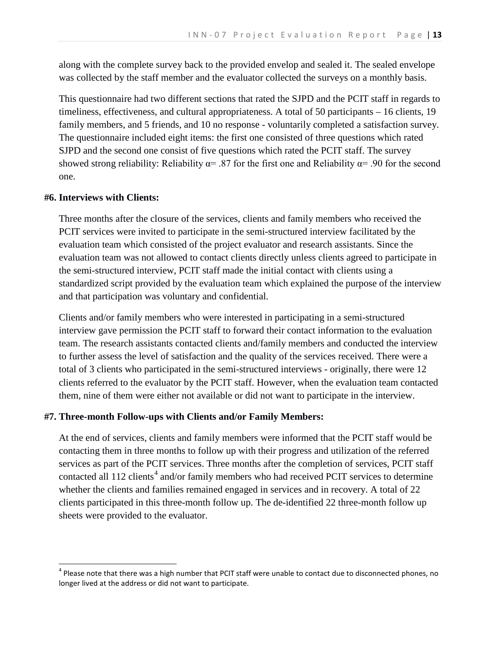along with the complete survey back to the provided envelop and sealed it. The sealed envelope was collected by the staff member and the evaluator collected the surveys on a monthly basis.

This questionnaire had two different sections that rated the SJPD and the PCIT staff in regards to timeliness, effectiveness, and cultural appropriateness. A total of 50 participants – 16 clients, 19 family members, and 5 friends, and 10 no response - voluntarily completed a satisfaction survey. The questionnaire included eight items: the first one consisted of three questions which rated SJPD and the second one consist of five questions which rated the PCIT staff. The survey showed strong reliability: Reliability  $\alpha$ = .87 for the first one and Reliability  $\alpha$ = .90 for the second one.

#### **#6. Interviews with Clients:**

Three months after the closure of the services, clients and family members who received the PCIT services were invited to participate in the semi-structured interview facilitated by the evaluation team which consisted of the project evaluator and research assistants. Since the evaluation team was not allowed to contact clients directly unless clients agreed to participate in the semi-structured interview, PCIT staff made the initial contact with clients using a standardized script provided by the evaluation team which explained the purpose of the interview and that participation was voluntary and confidential.

Clients and/or family members who were interested in participating in a semi-structured interview gave permission the PCIT staff to forward their contact information to the evaluation team. The research assistants contacted clients and/family members and conducted the interview to further assess the level of satisfaction and the quality of the services received. There were a total of 3 clients who participated in the semi-structured interviews - originally, there were 12 clients referred to the evaluator by the PCIT staff. However, when the evaluation team contacted them, nine of them were either not available or did not want to participate in the interview.

#### **#7. Three-month Follow-ups with Clients and/or Family Members:**

At the end of services, clients and family members were informed that the PCIT staff would be contacting them in three months to follow up with their progress and utilization of the referred services as part of the PCIT services. Three months after the completion of services, PCIT staff contacted all 112 clients<sup>[4](#page-12-0)</sup> and/or family members who had received PCIT services to determine whether the clients and families remained engaged in services and in recovery. A total of 22 clients participated in this three-month follow up. The de-identified 22 three-month follow up sheets were provided to the evaluator.

<span id="page-12-0"></span> $4$  Please note that there was a high number that PCIT staff were unable to contact due to disconnected phones, no longer lived at the address or did not want to participate.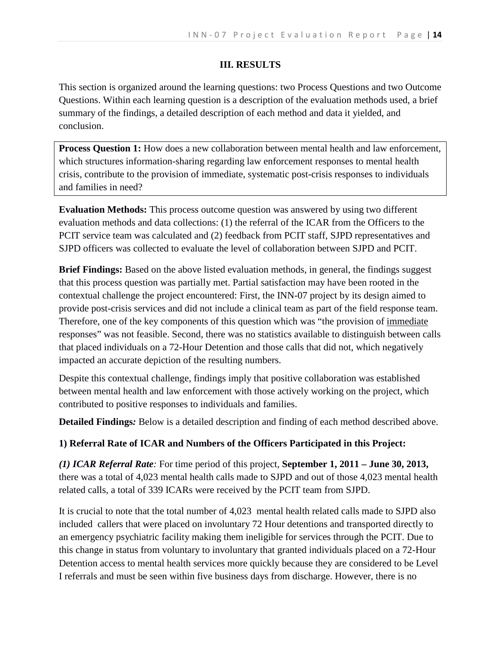#### **III. RESULTS**

This section is organized around the learning questions: two Process Questions and two Outcome Questions. Within each learning question is a description of the evaluation methods used, a brief summary of the findings, a detailed description of each method and data it yielded, and conclusion.

**Process Question 1:** How does a new collaboration between mental health and law enforcement, which structures information-sharing regarding law enforcement responses to mental health crisis, contribute to the provision of immediate, systematic post-crisis responses to individuals and families in need?

**Evaluation Methods:** This process outcome question was answered by using two different evaluation methods and data collections: (1) the referral of the ICAR from the Officers to the PCIT service team was calculated and (2) feedback from PCIT staff, SJPD representatives and SJPD officers was collected to evaluate the level of collaboration between SJPD and PCIT.

**Brief Findings:** Based on the above listed evaluation methods, in general, the findings suggest that this process question was partially met. Partial satisfaction may have been rooted in the contextual challenge the project encountered: First, the INN-07 project by its design aimed to provide post-crisis services and did not include a clinical team as part of the field response team. Therefore, one of the key components of this question which was "the provision of immediate responses" was not feasible. Second, there was no statistics available to distinguish between calls that placed individuals on a 72-Hour Detention and those calls that did not, which negatively impacted an accurate depiction of the resulting numbers.

Despite this contextual challenge, findings imply that positive collaboration was established between mental health and law enforcement with those actively working on the project, which contributed to positive responses to individuals and families.

**Detailed Findings***:* Below is a detailed description and finding of each method described above.

## **1) Referral Rate of ICAR and Numbers of the Officers Participated in this Project:**

*(1) ICAR Referral Rate:* For time period of this project, **September 1, 2011 – June 30, 2013,** there was a total of 4,023 mental health calls made to SJPD and out of those 4,023 mental health related calls, a total of 339 ICARs were received by the PCIT team from SJPD.

It is crucial to note that the total number of 4,023 mental health related calls made to SJPD also included callers that were placed on involuntary 72 Hour detentions and transported directly to an emergency psychiatric facility making them ineligible for services through the PCIT. Due to this change in status from voluntary to involuntary that granted individuals placed on a 72-Hour Detention access to mental health services more quickly because they are considered to be Level I referrals and must be seen within five business days from discharge. However, there is no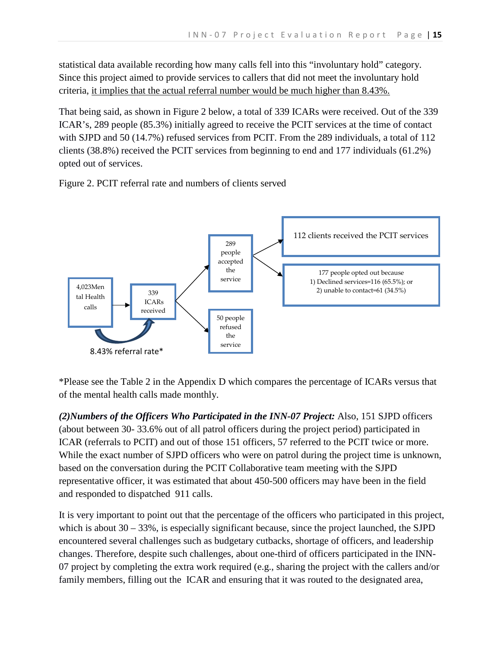statistical data available recording how many calls fell into this "involuntary hold" category. Since this project aimed to provide services to callers that did not meet the involuntary hold criteria, it implies that the actual referral number would be much higher than 8.43%.

That being said, as shown in Figure 2 below, a total of 339 ICARs were received. Out of the 339 ICAR's, 289 people (85.3%) initially agreed to receive the PCIT services at the time of contact with SJPD and 50 (14.7%) refused services from PCIT. From the 289 individuals, a total of 112 clients (38.8%) received the PCIT services from beginning to end and 177 individuals (61.2%) opted out of services.

Figure 2. PCIT referral rate and numbers of clients served



\*Please see the Table 2 in the Appendix D which compares the percentage of ICARs versus that of the mental health calls made monthly.

*(2)Numbers of the Officers Who Participated in the INN-07 Project:* Also, 151 SJPD officers (about between 30- 33.6% out of all patrol officers during the project period) participated in ICAR (referrals to PCIT) and out of those 151 officers, 57 referred to the PCIT twice or more. While the exact number of SJPD officers who were on patrol during the project time is unknown, based on the conversation during the PCIT Collaborative team meeting with the SJPD representative officer, it was estimated that about 450-500 officers may have been in the field and responded to dispatched 911 calls.

It is very important to point out that the percentage of the officers who participated in this project, which is about 30 – 33%, is especially significant because, since the project launched, the SJPD encountered several challenges such as budgetary cutbacks, shortage of officers, and leadership changes. Therefore, despite such challenges, about one-third of officers participated in the INN-07 project by completing the extra work required (e.g., sharing the project with the callers and/or family members, filling out the ICAR and ensuring that it was routed to the designated area,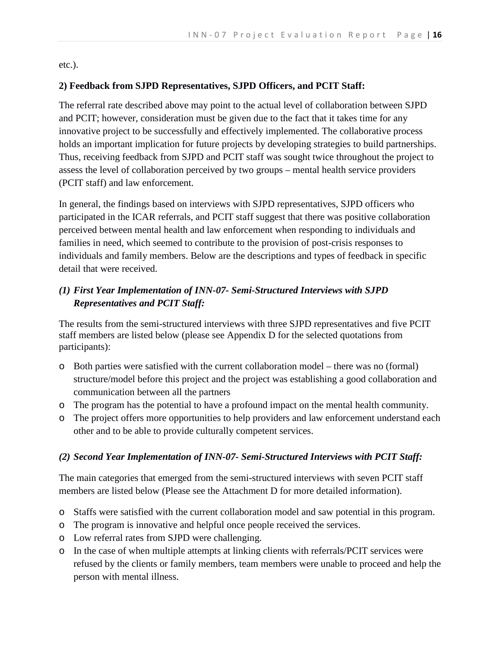etc.).

### **2) Feedback from SJPD Representatives, SJPD Officers, and PCIT Staff:**

The referral rate described above may point to the actual level of collaboration between SJPD and PCIT; however, consideration must be given due to the fact that it takes time for any innovative project to be successfully and effectively implemented. The collaborative process holds an important implication for future projects by developing strategies to build partnerships. Thus, receiving feedback from SJPD and PCIT staff was sought twice throughout the project to assess the level of collaboration perceived by two groups – mental health service providers (PCIT staff) and law enforcement.

In general, the findings based on interviews with SJPD representatives, SJPD officers who participated in the ICAR referrals, and PCIT staff suggest that there was positive collaboration perceived between mental health and law enforcement when responding to individuals and families in need, which seemed to contribute to the provision of post-crisis responses to individuals and family members. Below are the descriptions and types of feedback in specific detail that were received.

## *(1) First Year Implementation of INN-07- Semi-Structured Interviews with SJPD Representatives and PCIT Staff:*

The results from the semi-structured interviews with three SJPD representatives and five PCIT staff members are listed below (please see Appendix D for the selected quotations from participants):

- o Both parties were satisfied with the current collaboration model there was no (formal) structure/model before this project and the project was establishing a good collaboration and communication between all the partners
- o The program has the potential to have a profound impact on the mental health community.
- o The project offers more opportunities to help providers and law enforcement understand each other and to be able to provide culturally competent services.

## *(2) Second Year Implementation of INN-07- Semi-Structured Interviews with PCIT Staff:*

The main categories that emerged from the semi-structured interviews with seven PCIT staff members are listed below (Please see the Attachment D for more detailed information).

- o Staffs were satisfied with the current collaboration model and saw potential in this program.
- o The program is innovative and helpful once people received the services.
- o Low referral rates from SJPD were challenging.
- o In the case of when multiple attempts at linking clients with referrals/PCIT services were refused by the clients or family members, team members were unable to proceed and help the person with mental illness.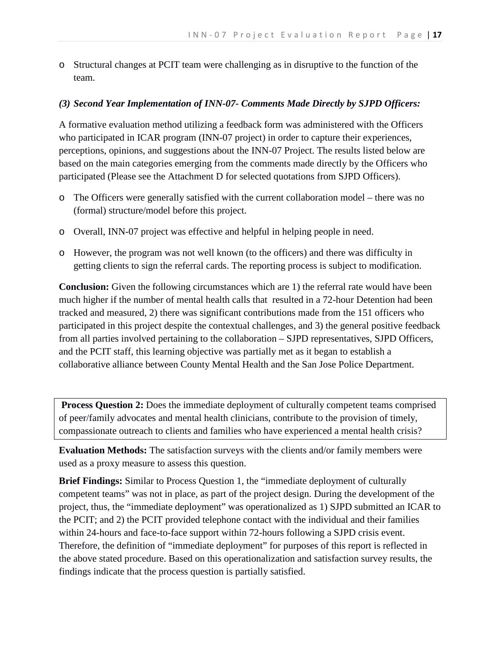o Structural changes at PCIT team were challenging as in disruptive to the function of the team.

## *(3) Second Year Implementation of INN-07- Comments Made Directly by SJPD Officers:*

A formative evaluation method utilizing a feedback form was administered with the Officers who participated in ICAR program (INN-07 project) in order to capture their experiences, perceptions, opinions, and suggestions about the INN-07 Project. The results listed below are based on the main categories emerging from the comments made directly by the Officers who participated (Please see the Attachment D for selected quotations from SJPD Officers).

- o The Officers were generally satisfied with the current collaboration model there was no (formal) structure/model before this project.
- o Overall, INN-07 project was effective and helpful in helping people in need.
- o However, the program was not well known (to the officers) and there was difficulty in getting clients to sign the referral cards. The reporting process is subject to modification.

**Conclusion:** Given the following circumstances which are 1) the referral rate would have been much higher if the number of mental health calls that resulted in a 72-hour Detention had been tracked and measured, 2) there was significant contributions made from the 151 officers who participated in this project despite the contextual challenges, and 3) the general positive feedback from all parties involved pertaining to the collaboration – SJPD representatives, SJPD Officers, and the PCIT staff, this learning objective was partially met as it began to establish a collaborative alliance between County Mental Health and the San Jose Police Department.

**Process Question 2:** Does the immediate deployment of culturally competent teams comprised of peer/family advocates and mental health clinicians, contribute to the provision of timely, compassionate outreach to clients and families who have experienced a mental health crisis?

**Evaluation Methods:** The satisfaction surveys with the clients and/or family members were used as a proxy measure to assess this question.

**Brief Findings:** Similar to Process Question 1, the "immediate deployment of culturally competent teams" was not in place, as part of the project design. During the development of the project, thus, the "immediate deployment" was operationalized as 1) SJPD submitted an ICAR to the PCIT; and 2) the PCIT provided telephone contact with the individual and their families within 24-hours and face-to-face support within 72-hours following a SJPD crisis event. Therefore, the definition of "immediate deployment" for purposes of this report is reflected in the above stated procedure. Based on this operationalization and satisfaction survey results, the findings indicate that the process question is partially satisfied.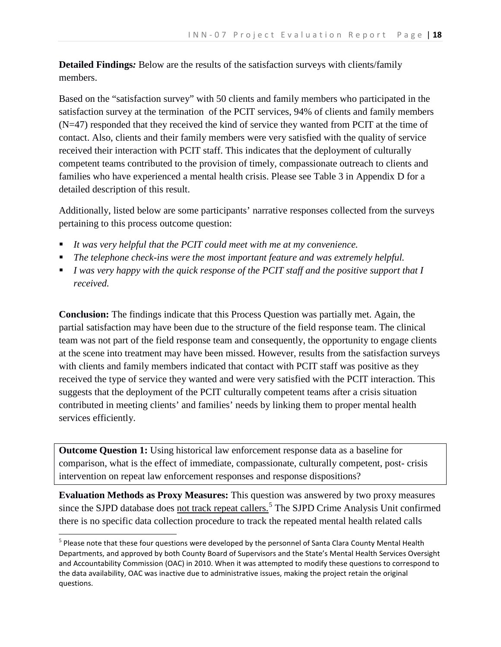**Detailed Findings***:* Below are the results of the satisfaction surveys with clients/family members.

Based on the "satisfaction survey" with 50 clients and family members who participated in the satisfaction survey at the termination of the PCIT services, 94% of clients and family members (N=47) responded that they received the kind of service they wanted from PCIT at the time of contact. Also, clients and their family members were very satisfied with the quality of service received their interaction with PCIT staff. This indicates that the deployment of culturally competent teams contributed to the provision of timely, compassionate outreach to clients and families who have experienced a mental health crisis. Please see Table 3 in Appendix D for a detailed description of this result.

Additionally, listed below are some participants' narrative responses collected from the surveys pertaining to this process outcome question:

- *It was very helpful that the PCIT could meet with me at my convenience.*
- *The telephone check-ins were the most important feature and was extremely helpful.*
- *I* was very happy with the quick response of the PCIT staff and the positive support that I *received.*

**Conclusion:** The findings indicate that this Process Question was partially met. Again, the partial satisfaction may have been due to the structure of the field response team. The clinical team was not part of the field response team and consequently, the opportunity to engage clients at the scene into treatment may have been missed. However, results from the satisfaction surveys with clients and family members indicated that contact with PCIT staff was positive as they received the type of service they wanted and were very satisfied with the PCIT interaction. This suggests that the deployment of the PCIT culturally competent teams after a crisis situation contributed in meeting clients' and families' needs by linking them to proper mental health services efficiently.

**Outcome Question 1:** Using historical law enforcement response data as a baseline for comparison, what is the effect of immediate, compassionate, culturally competent, post- crisis intervention on repeat law enforcement responses and response dispositions?

**Evaluation Methods as Proxy Measures:** This question was answered by two proxy measures since the SJPD database does not track repeat callers.<sup>[5](#page-17-0)</sup> The SJPD Crime Analysis Unit confirmed there is no specific data collection procedure to track the repeated mental health related calls

<span id="page-17-0"></span> $<sup>5</sup>$  Please note that these four questions were developed by the personnel of Santa Clara County Mental Health</sup> Departments, and approved by both County Board of Supervisors and the State's Mental Health Services Oversight and Accountability Commission (OAC) in 2010. When it was attempted to modify these questions to correspond to the data availability, OAC was inactive due to administrative issues, making the project retain the original questions.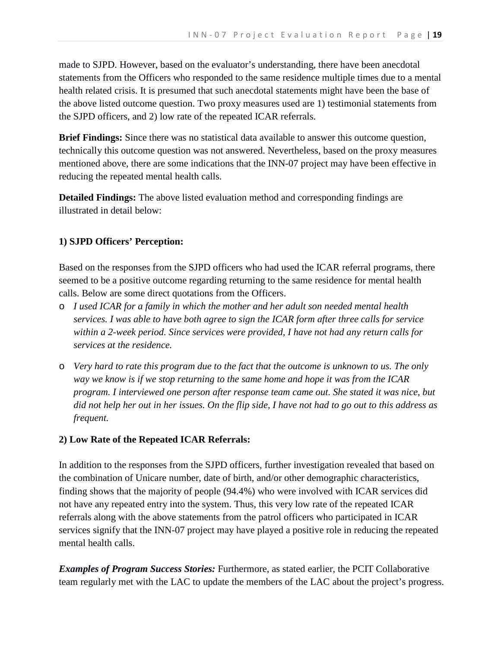made to SJPD. However, based on the evaluator's understanding, there have been anecdotal statements from the Officers who responded to the same residence multiple times due to a mental health related crisis. It is presumed that such anecdotal statements might have been the base of the above listed outcome question. Two proxy measures used are 1) testimonial statements from the SJPD officers, and 2) low rate of the repeated ICAR referrals.

**Brief Findings:** Since there was no statistical data available to answer this outcome question, technically this outcome question was not answered. Nevertheless, based on the proxy measures mentioned above, there are some indications that the INN-07 project may have been effective in reducing the repeated mental health calls.

**Detailed Findings:** The above listed evaluation method and corresponding findings are illustrated in detail below:

#### **1) SJPD Officers' Perception:**

Based on the responses from the SJPD officers who had used the ICAR referral programs, there seemed to be a positive outcome regarding returning to the same residence for mental health calls. Below are some direct quotations from the Officers.

- o *I used ICAR for a family in which the mother and her adult son needed mental health services. I was able to have both agree to sign the ICAR form after three calls for service within a 2-week period. Since services were provided, I have not had any return calls for services at the residence.*
- o *Very hard to rate this program due to the fact that the outcome is unknown to us. The only way we know is if we stop returning to the same home and hope it was from the ICAR program. I interviewed one person after response team came out. She stated it was nice, but did not help her out in her issues. On the flip side, I have not had to go out to this address as frequent.*

#### **2) Low Rate of the Repeated ICAR Referrals:**

In addition to the responses from the SJPD officers, further investigation revealed that based on the combination of Unicare number, date of birth, and/or other demographic characteristics, finding shows that the majority of people (94.4%) who were involved with ICAR services did not have any repeated entry into the system. Thus, this very low rate of the repeated ICAR referrals along with the above statements from the patrol officers who participated in ICAR services signify that the INN-07 project may have played a positive role in reducing the repeated mental health calls.

*Examples of Program Success Stories:* Furthermore, as stated earlier, the PCIT Collaborative team regularly met with the LAC to update the members of the LAC about the project's progress.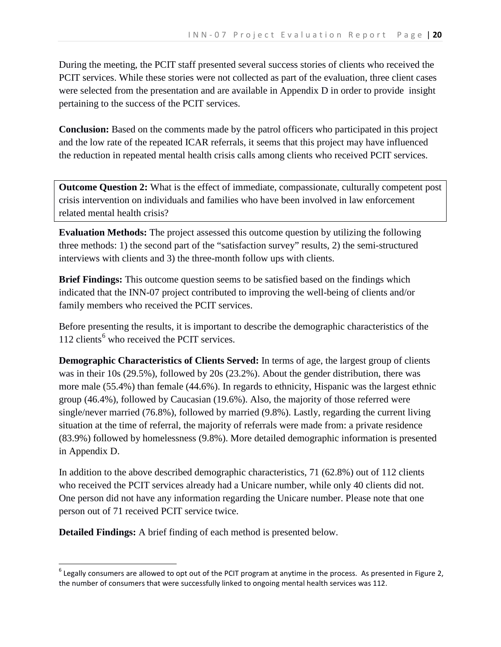During the meeting, the PCIT staff presented several success stories of clients who received the PCIT services. While these stories were not collected as part of the evaluation, three client cases were selected from the presentation and are available in Appendix D in order to provide insight pertaining to the success of the PCIT services.

**Conclusion:** Based on the comments made by the patrol officers who participated in this project and the low rate of the repeated ICAR referrals, it seems that this project may have influenced the reduction in repeated mental health crisis calls among clients who received PCIT services.

**Outcome Question 2:** What is the effect of immediate, compassionate, culturally competent post crisis intervention on individuals and families who have been involved in law enforcement related mental health crisis?

**Evaluation Methods:** The project assessed this outcome question by utilizing the following three methods: 1) the second part of the "satisfaction survey" results, 2) the semi-structured interviews with clients and 3) the three-month follow ups with clients.

**Brief Findings:** This outcome question seems to be satisfied based on the findings which indicated that the INN-07 project contributed to improving the well-being of clients and/or family members who received the PCIT services.

Before presenting the results, it is important to describe the demographic characteristics of the  $112$  clients<sup>[6](#page-19-0)</sup> who received the PCIT services.

**Demographic Characteristics of Clients Served:** In terms of age, the largest group of clients was in their 10s (29.5%), followed by 20s (23.2%). About the gender distribution, there was more male (55.4%) than female (44.6%). In regards to ethnicity, Hispanic was the largest ethnic group (46.4%), followed by Caucasian (19.6%). Also, the majority of those referred were single/never married (76.8%), followed by married (9.8%). Lastly, regarding the current living situation at the time of referral, the majority of referrals were made from: a private residence (83.9%) followed by homelessness (9.8%). More detailed demographic information is presented in Appendix D.

In addition to the above described demographic characteristics, 71 (62.8%) out of 112 clients who received the PCIT services already had a Unicare number, while only 40 clients did not. One person did not have any information regarding the Unicare number. Please note that one person out of 71 received PCIT service twice.

**Detailed Findings:** A brief finding of each method is presented below.

<span id="page-19-0"></span> $6$  Legally consumers are allowed to opt out of the PCIT program at anytime in the process. As presented in Figure 2, the number of consumers that were successfully linked to ongoing mental health services was 112.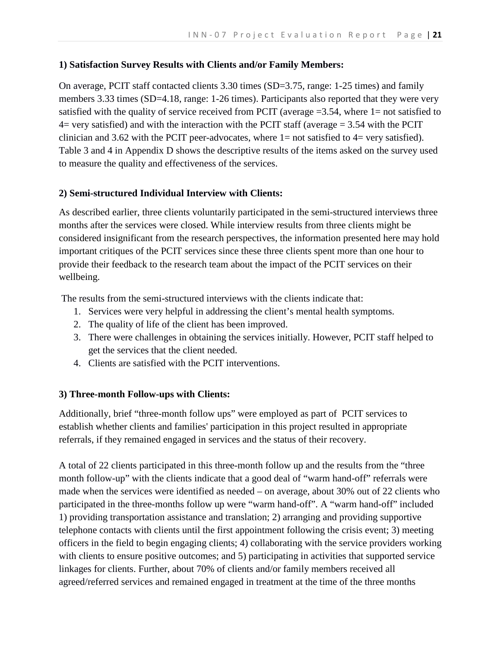## **1) Satisfaction Survey Results with Clients and/or Family Members:**

On average, PCIT staff contacted clients 3.30 times (SD=3.75, range: 1-25 times) and family members 3.33 times (SD=4.18, range: 1-26 times). Participants also reported that they were very satisfied with the quality of service received from PCIT (average  $=3.54$ , where 1= not satisfied to 4= very satisfied) and with the interaction with the PCIT staff (average = 3.54 with the PCIT clinician and 3.62 with the PCIT peer-advocates, where  $1=$  not satisfied to  $4=$  very satisfied). Table 3 and 4 in Appendix D shows the descriptive results of the items asked on the survey used to measure the quality and effectiveness of the services.

## **2) Semi-structured Individual Interview with Clients:**

As described earlier, three clients voluntarily participated in the semi-structured interviews three months after the services were closed. While interview results from three clients might be considered insignificant from the research perspectives, the information presented here may hold important critiques of the PCIT services since these three clients spent more than one hour to provide their feedback to the research team about the impact of the PCIT services on their wellbeing.

The results from the semi-structured interviews with the clients indicate that:

- 1. Services were very helpful in addressing the client's mental health symptoms.
- 2. The quality of life of the client has been improved.
- 3. There were challenges in obtaining the services initially. However, PCIT staff helped to get the services that the client needed.
- 4. Clients are satisfied with the PCIT interventions.

## **3) Three-month Follow-ups with Clients:**

Additionally, brief "three-month follow ups" were employed as part of PCIT services to establish whether clients and families' participation in this project resulted in appropriate referrals, if they remained engaged in services and the status of their recovery.

A total of 22 clients participated in this three-month follow up and the results from the "three month follow-up" with the clients indicate that a good deal of "warm hand-off" referrals were made when the services were identified as needed – on average, about 30% out of 22 clients who participated in the three-months follow up were "warm hand-off". A "warm hand-off" included 1) providing transportation assistance and translation; 2) arranging and providing supportive telephone contacts with clients until the first appointment following the crisis event; 3) meeting officers in the field to begin engaging clients; 4) collaborating with the service providers working with clients to ensure positive outcomes; and 5) participating in activities that supported service linkages for clients. Further, about 70% of clients and/or family members received all agreed/referred services and remained engaged in treatment at the time of the three months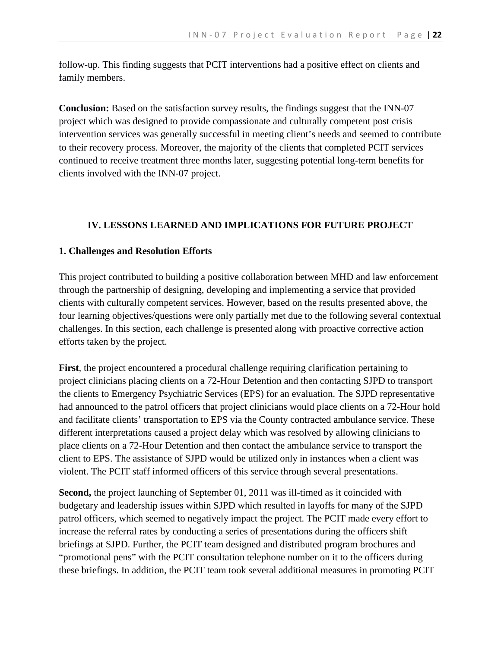follow-up. This finding suggests that PCIT interventions had a positive effect on clients and family members.

**Conclusion:** Based on the satisfaction survey results, the findings suggest that the INN-07 project which was designed to provide compassionate and culturally competent post crisis intervention services was generally successful in meeting client's needs and seemed to contribute to their recovery process. Moreover, the majority of the clients that completed PCIT services continued to receive treatment three months later, suggesting potential long-term benefits for clients involved with the INN-07 project.

## **IV. LESSONS LEARNED AND IMPLICATIONS FOR FUTURE PROJECT**

#### **1. Challenges and Resolution Efforts**

This project contributed to building a positive collaboration between MHD and law enforcement through the partnership of designing, developing and implementing a service that provided clients with culturally competent services. However, based on the results presented above, the four learning objectives/questions were only partially met due to the following several contextual challenges. In this section, each challenge is presented along with proactive corrective action efforts taken by the project.

**First**, the project encountered a procedural challenge requiring clarification pertaining to project clinicians placing clients on a 72-Hour Detention and then contacting SJPD to transport the clients to Emergency Psychiatric Services (EPS) for an evaluation. The SJPD representative had announced to the patrol officers that project clinicians would place clients on a 72-Hour hold and facilitate clients' transportation to EPS via the County contracted ambulance service. These different interpretations caused a project delay which was resolved by allowing clinicians to place clients on a 72-Hour Detention and then contact the ambulance service to transport the client to EPS. The assistance of SJPD would be utilized only in instances when a client was violent. The PCIT staff informed officers of this service through several presentations.

**Second,** the project launching of September 01, 2011 was ill-timed as it coincided with budgetary and leadership issues within SJPD which resulted in layoffs for many of the SJPD patrol officers, which seemed to negatively impact the project. The PCIT made every effort to increase the referral rates by conducting a series of presentations during the officers shift briefings at SJPD. Further, the PCIT team designed and distributed program brochures and "promotional pens" with the PCIT consultation telephone number on it to the officers during these briefings. In addition, the PCIT team took several additional measures in promoting PCIT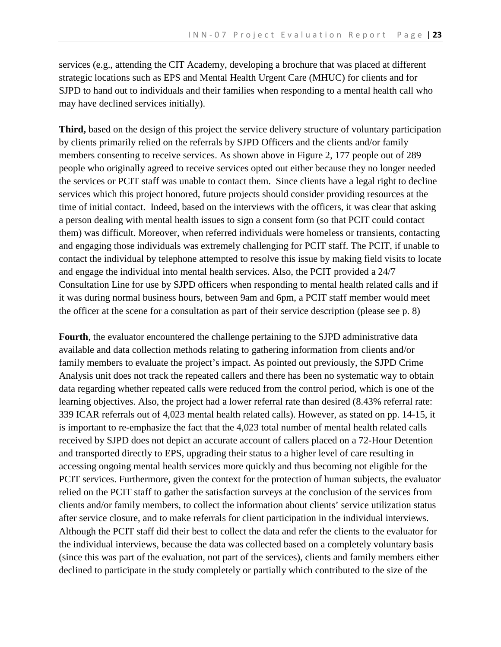services (e.g., attending the CIT Academy, developing a brochure that was placed at different strategic locations such as EPS and Mental Health Urgent Care (MHUC) for clients and for SJPD to hand out to individuals and their families when responding to a mental health call who may have declined services initially).

**Third,** based on the design of this project the service delivery structure of voluntary participation by clients primarily relied on the referrals by SJPD Officers and the clients and/or family members consenting to receive services. As shown above in Figure 2, 177 people out of 289 people who originally agreed to receive services opted out either because they no longer needed the services or PCIT staff was unable to contact them. Since clients have a legal right to decline services which this project honored, future projects should consider providing resources at the time of initial contact. Indeed, based on the interviews with the officers, it was clear that asking a person dealing with mental health issues to sign a consent form (so that PCIT could contact them) was difficult. Moreover, when referred individuals were homeless or transients, contacting and engaging those individuals was extremely challenging for PCIT staff. The PCIT, if unable to contact the individual by telephone attempted to resolve this issue by making field visits to locate and engage the individual into mental health services. Also, the PCIT provided a 24/7 Consultation Line for use by SJPD officers when responding to mental health related calls and if it was during normal business hours, between 9am and 6pm, a PCIT staff member would meet the officer at the scene for a consultation as part of their service description (please see p. 8)

**Fourth**, the evaluator encountered the challenge pertaining to the SJPD administrative data available and data collection methods relating to gathering information from clients and/or family members to evaluate the project's impact. As pointed out previously, the SJPD Crime Analysis unit does not track the repeated callers and there has been no systematic way to obtain data regarding whether repeated calls were reduced from the control period, which is one of the learning objectives. Also, the project had a lower referral rate than desired (8.43% referral rate: 339 ICAR referrals out of 4,023 mental health related calls). However, as stated on pp. 14-15, it is important to re-emphasize the fact that the 4,023 total number of mental health related calls received by SJPD does not depict an accurate account of callers placed on a 72-Hour Detention and transported directly to EPS, upgrading their status to a higher level of care resulting in accessing ongoing mental health services more quickly and thus becoming not eligible for the PCIT services. Furthermore, given the context for the protection of human subjects, the evaluator relied on the PCIT staff to gather the satisfaction surveys at the conclusion of the services from clients and/or family members, to collect the information about clients' service utilization status after service closure, and to make referrals for client participation in the individual interviews. Although the PCIT staff did their best to collect the data and refer the clients to the evaluator for the individual interviews, because the data was collected based on a completely voluntary basis (since this was part of the evaluation, not part of the services), clients and family members either declined to participate in the study completely or partially which contributed to the size of the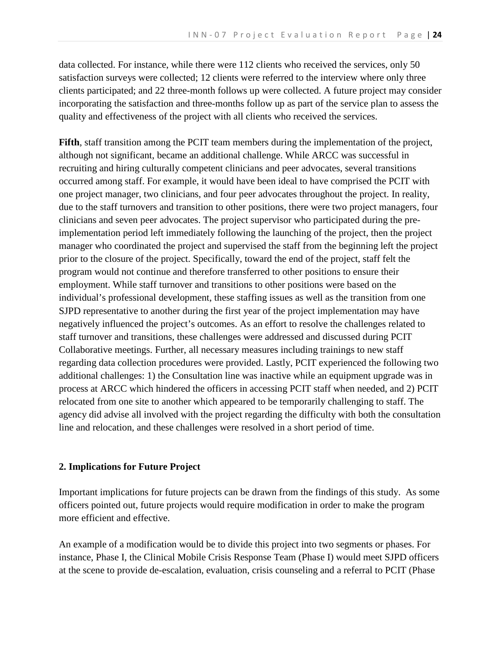data collected. For instance, while there were 112 clients who received the services, only 50 satisfaction surveys were collected; 12 clients were referred to the interview where only three clients participated; and 22 three-month follows up were collected. A future project may consider incorporating the satisfaction and three-months follow up as part of the service plan to assess the quality and effectiveness of the project with all clients who received the services.

**Fifth**, staff transition among the PCIT team members during the implementation of the project, although not significant, became an additional challenge. While ARCC was successful in recruiting and hiring culturally competent clinicians and peer advocates, several transitions occurred among staff. For example, it would have been ideal to have comprised the PCIT with one project manager, two clinicians, and four peer advocates throughout the project. In reality, due to the staff turnovers and transition to other positions, there were two project managers, four clinicians and seven peer advocates. The project supervisor who participated during the preimplementation period left immediately following the launching of the project, then the project manager who coordinated the project and supervised the staff from the beginning left the project prior to the closure of the project. Specifically, toward the end of the project, staff felt the program would not continue and therefore transferred to other positions to ensure their employment. While staff turnover and transitions to other positions were based on the individual's professional development, these staffing issues as well as the transition from one SJPD representative to another during the first year of the project implementation may have negatively influenced the project's outcomes. As an effort to resolve the challenges related to staff turnover and transitions, these challenges were addressed and discussed during PCIT Collaborative meetings. Further, all necessary measures including trainings to new staff regarding data collection procedures were provided. Lastly, PCIT experienced the following two additional challenges: 1) the Consultation line was inactive while an equipment upgrade was in process at ARCC which hindered the officers in accessing PCIT staff when needed, and 2) PCIT relocated from one site to another which appeared to be temporarily challenging to staff. The agency did advise all involved with the project regarding the difficulty with both the consultation line and relocation, and these challenges were resolved in a short period of time.

#### **2. Implications for Future Project**

Important implications for future projects can be drawn from the findings of this study. As some officers pointed out, future projects would require modification in order to make the program more efficient and effective.

An example of a modification would be to divide this project into two segments or phases. For instance, Phase I, the Clinical Mobile Crisis Response Team (Phase I) would meet SJPD officers at the scene to provide de-escalation, evaluation, crisis counseling and a referral to PCIT (Phase